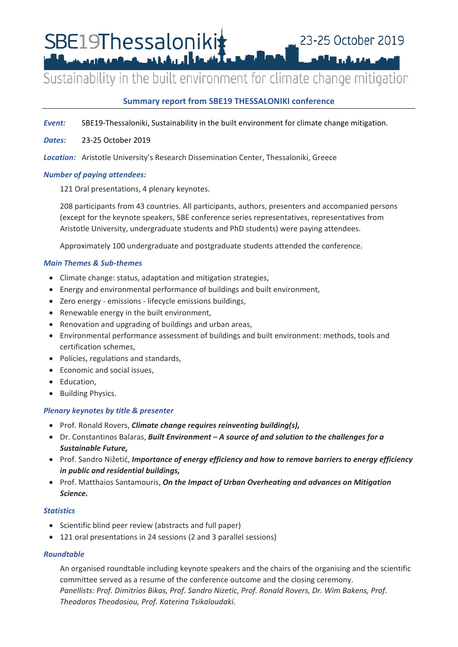SBE19Thessaloniki**‡ Brownstand Midulberries** 

# Sustainability in the built environment for climate change mitigation

╻┟┍╻

# **Summary report from SBE19 THESSALONIKI conference**

- *Event:* SBE19-Thessaloniki, Sustainability in the built environment for climate change mitigation.
- *Dates:* 23-25 October 2019
- *Location:* Aristotle University's Research Dissemination Center, Thessaloniki, Greece

## *Number of paying attendees:*

121 Oral presentations, 4 plenary keynotes.

208 participants from 43 countries. All participants, authors, presenters and accompanied persons (except for the keynote speakers, SBE conference series representatives, representatives from Aristotle University, undergraduate students and PhD students) were paying attendees.

Approximately 100 undergraduate and postgraduate students attended the conference.

## *Main Themes & Sub-themes*

- Climate change: status, adaptation and mitigation strategies,
- Energy and environmental performance of buildings and built environment,
- Zero energy emissions lifecycle emissions buildings,
- Renewable energy in the built environment,
- Renovation and upgrading of buildings and urban areas,
- Environmental performance assessment of buildings and built environment: methods, tools and certification schemes,
- Policies, regulations and standards,
- Economic and social issues,
- Education,
- Building Physics.

# *Plenary keynotes by title & presenter*

- Prof. Ronald Rovers, *Climate change requires reinventing building(s),*
- Dr. Constantinos Balaras, *Built Environment – A source of and solution to the challenges for a Sustainable Future,*
- Prof. Sandro Nižetić, *Importance of energy efficiency and how to remove barriers to energy efficiency in public and residential buildings,*
- Prof. Matthaios Santamouris, *On the Impact of Urban Overheating and advances on Mitigation Science.*

#### *Statistics*

- Scientific blind peer review (abstracts and full paper)
- 121 oral presentations in 24 sessions (2 and 3 parallel sessions)

#### *Roundtable*

An organised roundtable including keynote speakers and the chairs of the organising and the scientific committee served as a resume of the conference outcome and the closing ceremony. *Panellists: Prof. Dimitrios Bikas, Prof. Sandro Nizetic, Prof. Ronald Rovers, Dr. Wim Bakens, Prof. Theodoros Theodosiou, Prof. Katerina Tsikaloudaki.*